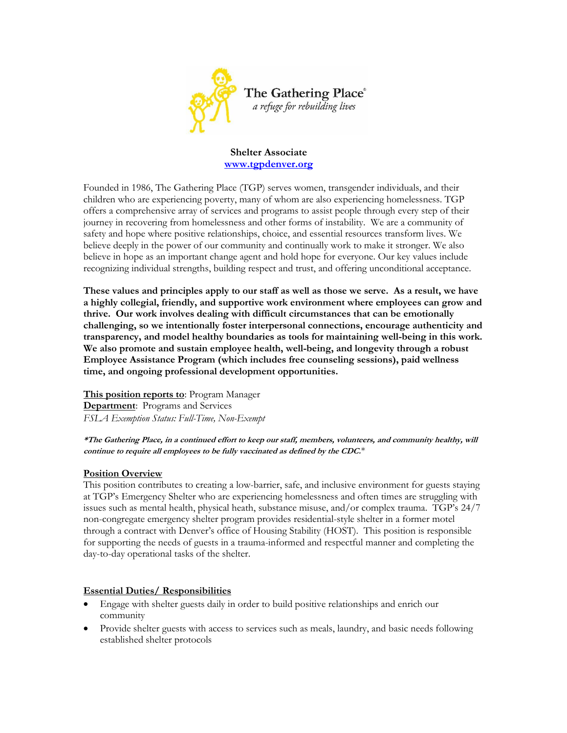

#### **Shelter Associate [www.tgpdenver.org](http://www.tgpdenver.org/)**

Founded in 1986, The Gathering Place (TGP) serves women, transgender individuals, and their children who are experiencing poverty, many of whom are also experiencing homelessness. TGP offers a comprehensive array of services and programs to assist people through every step of their journey in recovering from homelessness and other forms of instability. We are a community of safety and hope where positive relationships, choice, and essential resources transform lives. We believe deeply in the power of our community and continually work to make it stronger. We also believe in hope as an important change agent and hold hope for everyone. Our key values include recognizing individual strengths, building respect and trust, and offering unconditional acceptance.

**These values and principles apply to our staff as well as those we serve. As a result, we have a highly collegial, friendly, and supportive work environment where employees can grow and thrive. Our work involves dealing with difficult circumstances that can be emotionally challenging, so we intentionally foster interpersonal connections, encourage authenticity and transparency, and model healthy boundaries as tools for maintaining well-being in this work. We also promote and sustain employee health, well-being, and longevity through a robust Employee Assistance Program (which includes free counseling sessions), paid wellness time, and ongoing professional development opportunities.**

**This position reports to**: Program Manager **Department**: Programs and Services *FSLA Exemption Status: Full-Time, Non-Exempt*

**\*The Gathering Place, in a continued effort to keep our staff, members, volunteers, and community healthy, will continue to require all employees to be fully vaccinated as defined by the CDC.**\*

## **Position Overview**

This position contributes to creating a low-barrier, safe, and inclusive environment for guests staying at TGP's Emergency Shelter who are experiencing homelessness and often times are struggling with issues such as mental health, physical heath, substance misuse, and/or complex trauma. TGP's 24/7 non-congregate emergency shelter program provides residential-style shelter in a former motel through a contract with Denver's office of Housing Stability (HOST). This position is responsible for supporting the needs of guests in a trauma-informed and respectful manner and completing the day-to-day operational tasks of the shelter.

## **Essential Duties/ Responsibilities**

- Engage with shelter guests daily in order to build positive relationships and enrich our community
- Provide shelter guests with access to services such as meals, laundry, and basic needs following established shelter protocols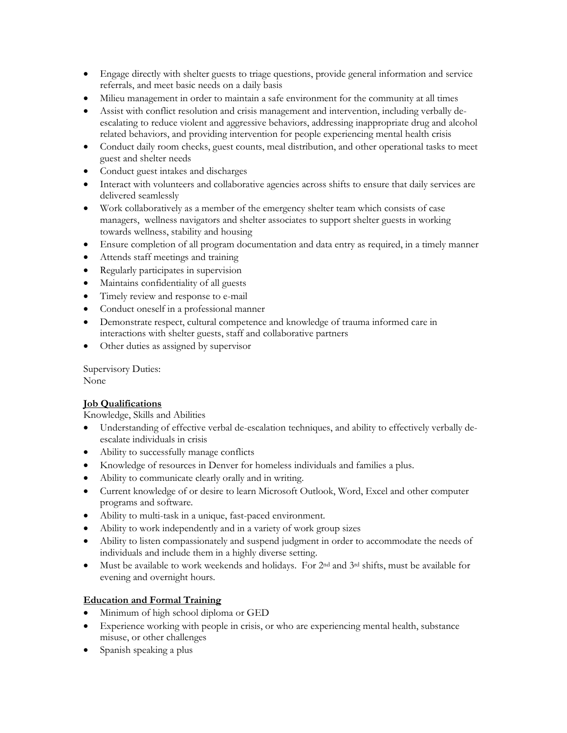- Engage directly with shelter guests to triage questions, provide general information and service referrals, and meet basic needs on a daily basis
- Milieu management in order to maintain a safe environment for the community at all times
- Assist with conflict resolution and crisis management and intervention, including verbally deescalating to reduce violent and aggressive behaviors, addressing inappropriate drug and alcohol related behaviors, and providing intervention for people experiencing mental health crisis
- Conduct daily room checks, guest counts, meal distribution, and other operational tasks to meet guest and shelter needs
- Conduct guest intakes and discharges
- Interact with volunteers and collaborative agencies across shifts to ensure that daily services are delivered seamlessly
- Work collaboratively as a member of the emergency shelter team which consists of case managers, wellness navigators and shelter associates to support shelter guests in working towards wellness, stability and housing
- Ensure completion of all program documentation and data entry as required, in a timely manner
- Attends staff meetings and training
- Regularly participates in supervision
- Maintains confidentiality of all guests
- Timely review and response to e-mail
- Conduct oneself in a professional manner
- Demonstrate respect, cultural competence and knowledge of trauma informed care in interactions with shelter guests, staff and collaborative partners
- Other duties as assigned by supervisor

Supervisory Duties: None

## **Job Qualifications**

Knowledge, Skills and Abilities

- Understanding of effective verbal de-escalation techniques, and ability to effectively verbally deescalate individuals in crisis
- Ability to successfully manage conflicts
- Knowledge of resources in Denver for homeless individuals and families a plus.
- Ability to communicate clearly orally and in writing.
- Current knowledge of or desire to learn Microsoft Outlook, Word, Excel and other computer programs and software.
- Ability to multi-task in a unique, fast-paced environment.
- Ability to work independently and in a variety of work group sizes
- Ability to listen compassionately and suspend judgment in order to accommodate the needs of individuals and include them in a highly diverse setting.
- Must be available to work weekends and holidays. For 2nd and 3rd shifts, must be available for evening and overnight hours.

## **Education and Formal Training**

- Minimum of high school diploma or GED
- Experience working with people in crisis, or who are experiencing mental health, substance misuse, or other challenges
- Spanish speaking a plus